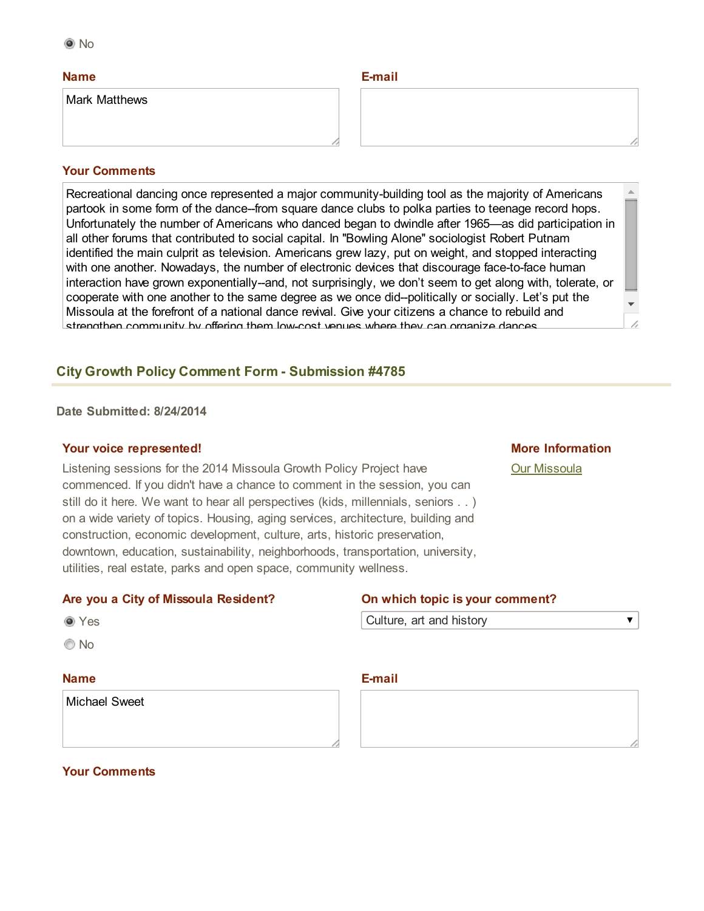#### Name

Mark Matthews

#### Email

#### Your Comments

Recreational dancing once represented a major community-building tool as the majority of Americans partook in some form of the dance-from square dance clubs to polka parties to teenage record hops. Unfortunately the number of Americans who danced began to dwindle after 1965—as did participation in all other forums that contributed to social capital. In ''Bowling Alone'' sociologist Robert Putnam identified the main culprit as television. Americans grew lazy, put on weight, and stopped interacting with one another. Nowadays, the number of electronic devices that discourage face-to-face human interaction have grown exponentially-and, not surprisingly, we don't seem to get along with, tolerate, or cooperate with one another to the same degree as we once did--politically or socially. Let's put the Missoula at the forefront of a national dance revival. Give your citizens a chance to rebuild and strengthen community by offering them lowcost venues where they can organize dances.

#### **City Growth Policy Comment Form - Submission #4785**

#### Date Submitted: 8/24/2014

#### Your voice represented!

Listening sessions for the 2014 Missoula Growth Policy Project have commenced. If you didn't have a chance to comment in the session, you can still do it here. We want to hear all perspectives (kids, millennials, seniors . . ) on a wide variety of topics. Housing, aging services, architecture, building and construction, economic development, culture, arts, historic preservation, downtown, education, sustainability, neighborhoods, transportation, university, utilities, real estate, parks and open space, community wellness.

# More Information

 $\overline{\textbf{v}}$ 

[Our Missoula](http://www.ci.missoula.mt.us/1748/Our-Missoula)

#### Are you a City of Missoula Resident? On which topic is your comment?

| ۰.<br>M.<br>۰.<br>w |
|---------------------|
|---------------------|

© No

### Name

Michael Sweet

Culture, art and history

#### E-mail

Your Comments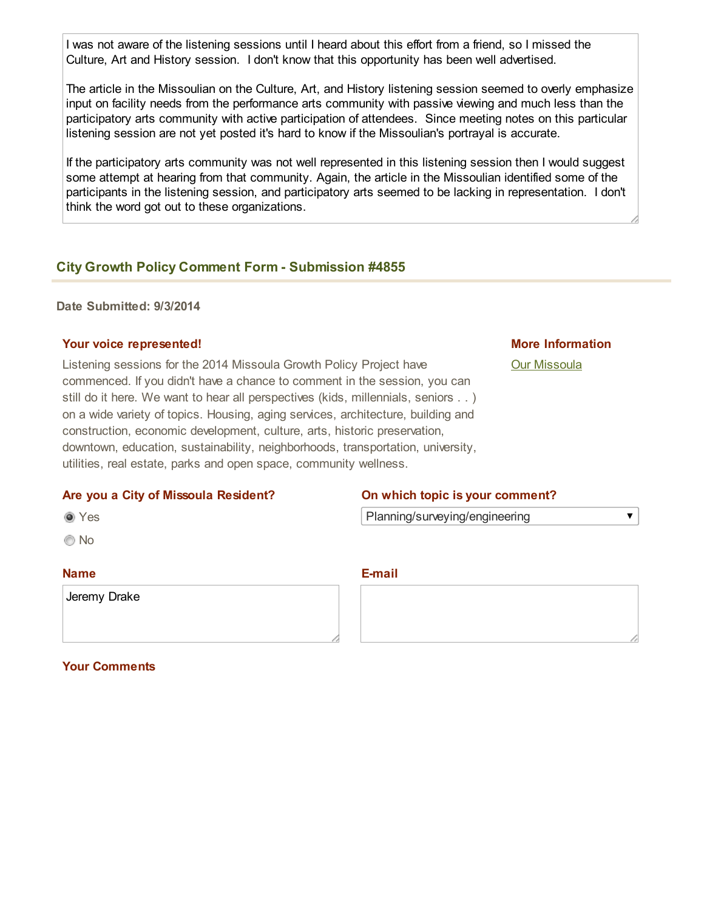I was not aware of the listening sessions until I heard about this effort from a friend, so I missed the Culture, Art and History session. I don't know that this opportunity has been well advertised.

The article in the Missoulian on the Culture, Art, and History listening session seemed to overly emphasize input on facility needs from the performance arts community with passive viewing and much less than the participatory arts community with active participation of attendees. Since meeting notes on this particular listening session are not yet posted it's hard to know if the Missoulian's portrayal is accurate.

If the participatory arts community was not well represented in this listening session then I would suggest some attempt at hearing from that community. Again, the article in the Missoulian identified some of the participants in the listening session, and participatory arts seemed to be lacking in representation. I don't think the word got out to these organizations.

### **City Growth Policy Comment Form - Submission #4855**

#### Date Submitted: 9/3/2014

#### Your voice represented!

Listening sessions for the 2014 Missoula Growth Policy Project have commenced. If you didn't have a chance to comment in the session, you can still do it here. We want to hear all perspectives (kids, millennials, seniors . . ) on a wide variety of topics. Housing, aging services, architecture, building and construction, economic development, culture, arts, historic preservation, downtown, education, sustainability, neighborhoods, transportation, university, utilities, real estate, parks and open space, community wellness.

#### Are you a City of Missoula Resident? On which topic is your comment?

Yes

© No

#### Name

Jeremy Drake

Planning/surveying/engineering

E-mail

### Your Comments

#### More Information

 $\blacktriangledown$ 

[Our Missoula](http://www.ci.missoula.mt.us/1748/Our-Missoula)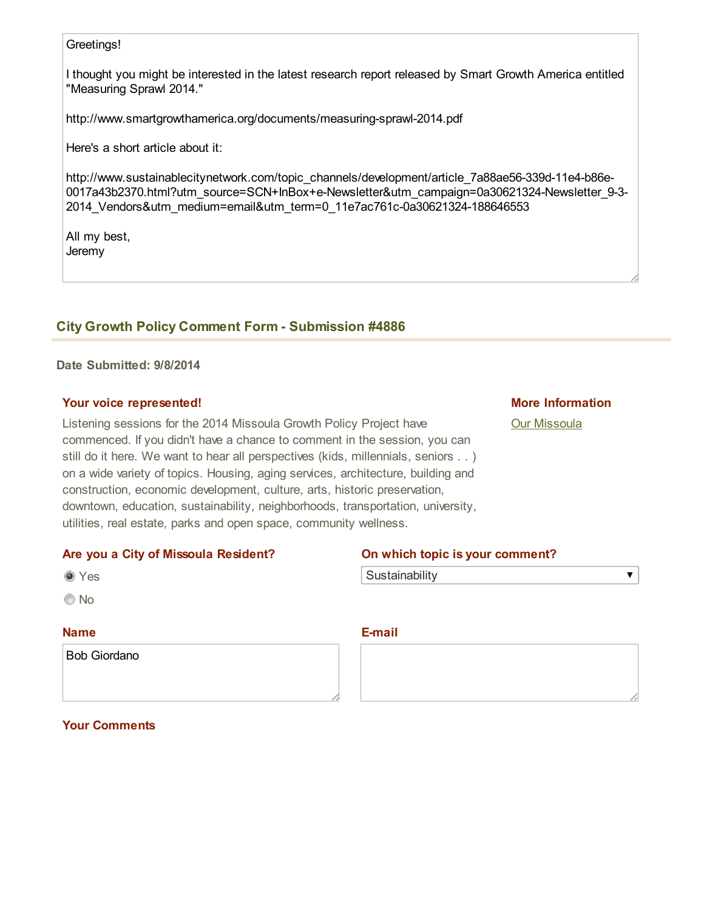#### Greetings!

I thought you might be interested in the latest research report released by Smart Growth America entitled "Measuring Sprawl 2014."

http://www.smartgrowthamerica.org/documents/measuring-sprawl-2014.pdf

Here's a short article about it:

http://www.sustainablecitynetwork.com/topic\_channels/development/article\_7a88ae56-339d-11e4-b86e-0017a43b2370.html?utm\_source=SCN+InBox+e-Newsletter&utm\_campaign=0a30621324-Newsletter\_9-3-2014\_Vendors&utm\_medium=email&utm\_term=0\_11e7ac761c-0a30621324-188646553

All my best, Jeremy

### **City Growth Policy Comment Form - Submission #4886**

#### Date Submitted: 9/8/2014

#### Your voice represented!

Listening sessions for the 2014 Missoula Growth Policy Project have commenced. If you didn't have a chance to comment in the session, you can still do it here. We want to hear all perspectives (kids, millennials, seniors . . ) on a wide variety of topics. Housing, aging services, architecture, building and construction, economic development, culture, arts, historic preservation, downtown, education, sustainability, neighborhoods, transportation, university, utilities, real estate, parks and open space, community wellness.

#### More Information

 $\overline{\mathbf{v}}$ 

#### [Our Missoula](http://www.ci.missoula.mt.us/1748/Our-Missoula)

## Are you a City of Missoula Resident? On which topic is your comment?

| ×<br>۰, |
|---------|
|         |

© No

### Name

Bob Giordano

**Sustainability** 

### Email

Your Comments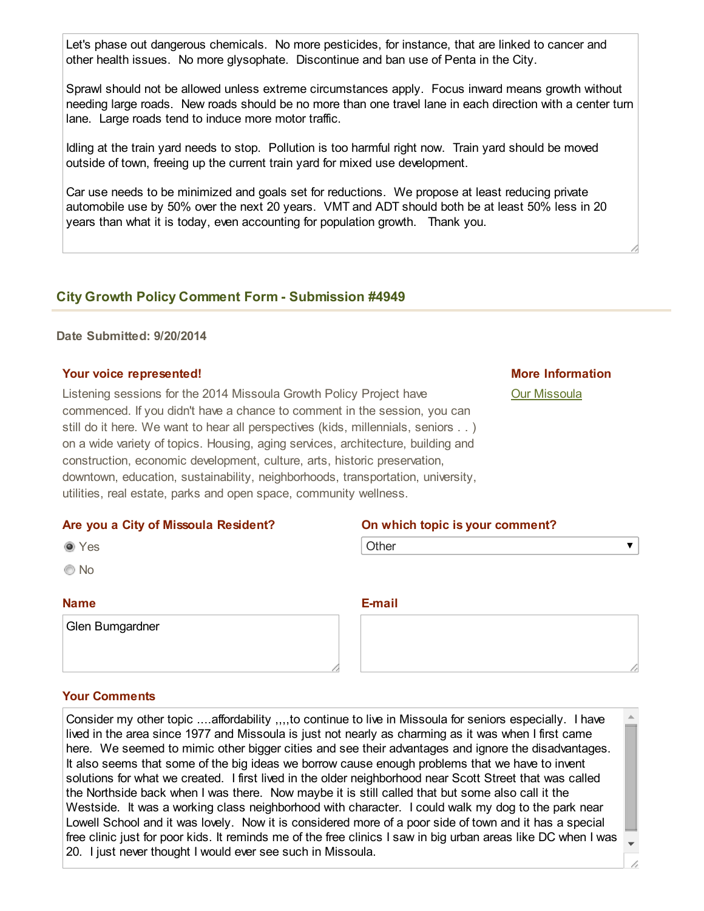Let's phase out dangerous chemicals. No more pesticides, for instance, that are linked to cancer and other health issues. No more glysophate. Discontinue and ban use of Penta in the City.

Sprawl should not be allowed unless extreme circumstances apply. Focus inward means growth without needing large roads. New roads should be no more than one travel lane in each direction with a center turn lane. Large roads tend to induce more motor traffic.

Idling at the train yard needs to stop. Pollution is too harmful right now. Train yard should be moved outside of town, freeing up the current train yard for mixed use development.

Car use needs to be minimized and goals set for reductions. We propose at least reducing private automobile use by 50% over the next 20 years. VMT and ADT should both be at least 50% less in 20 years than what it is today, even accounting for population growth. Thank you.

### **City Growth Policy Comment Form - Submission #4949**

#### Date Submitted: 9/20/2014

#### Your voice represented!

Listening sessions for the 2014 Missoula Growth Policy Project have commenced. If you didn't have a chance to comment in the session, you can still do it here. We want to hear all perspectives (kids, millennials, seniors . . ) on a wide variety of topics. Housing, aging services, architecture, building and construction, economic development, culture, arts, historic preservation, downtown, education, sustainability, neighborhoods, transportation, university, utilities, real estate, parks and open space, community wellness.

#### Are you a City of Missoula Resident? On which topic is your comment?

|  | ٠<br>M.<br>٠<br>۰. |
|--|--------------------|
|--|--------------------|

No

#### Name

Glen Bumgardner

**Other** 

E-mail

#### Your Comments

Consider my other topic ....affordability ,,,,to continue to live in Missoula for seniors especially. I have lived in the area since 1977 and Missoula is just not nearly as charming as it was when I first came here. We seemed to mimic other bigger cities and see their advantages and ignore the disadvantages. It also seems that some of the big ideas we borrow cause enough problems that we have to invent solutions for what we created. I first lived in the older neighborhood near Scott Street that was called the Northside back when I was there. Now maybe it is still called that but some also call it the Westside. It was a working class neighborhood with character. I could walk my dog to the park near Lowell School and it was lovely. Now it is considered more of a poor side of town and it has a special free clinic just for poor kids. It reminds me of the free clinics I saw in big urban areas like DC when I was 20. I just never thought I would ever see such in Missoula.

## [Our Missoula](http://www.ci.missoula.mt.us/1748/Our-Missoula)

 $\blacktriangledown$ 

More Information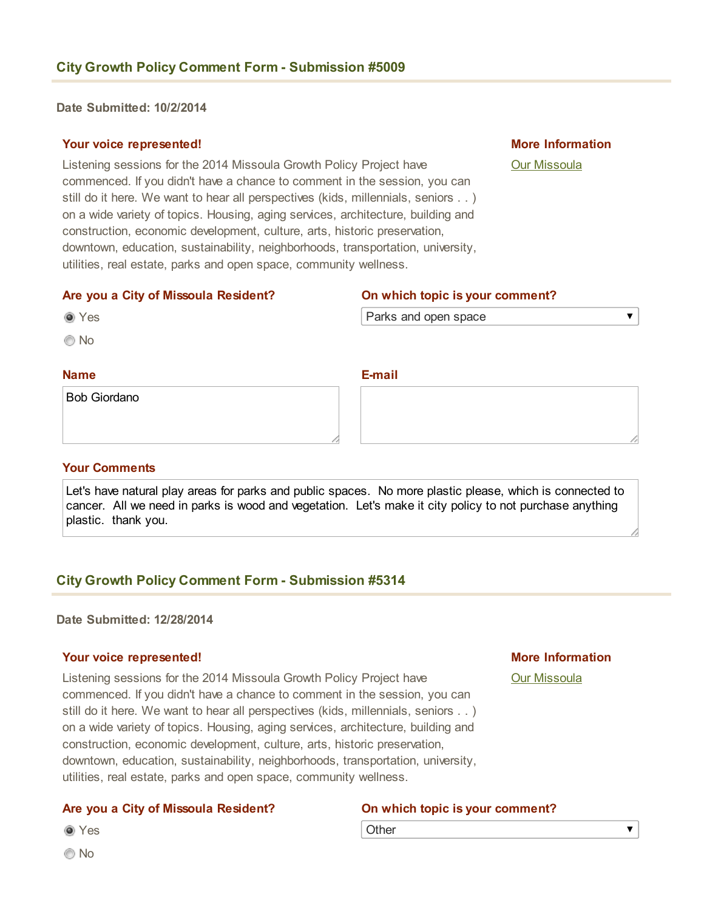Date Submitted: 10/2/2014

#### Your voice represented!

Listening sessions for the 2014 Missoula Growth Policy Project have commenced. If you didn't have a chance to comment in the session, you can still do it here. We want to hear all perspectives (kids, millennials, seniors . . ) on a wide variety of topics. Housing, aging services, architecture, building and construction, economic development, culture, arts, historic preservation, downtown, education, sustainability, neighborhoods, transportation, university, utilities, real estate, parks and open space, community wellness.

More Information

 $\overline{\blacktriangledown}$ 

[Our Missoula](http://www.ci.missoula.mt.us/1748/Our-Missoula)

#### Are you a City of Missoula Resident? On which topic is your comment?

Email

Bob Giordano

Yes © No

Name

#### Your Comments

Let's have natural play areas for parks and public spaces. No more plastic please, which is connected to cancer. All we need in parks is wood and vegetation. Let's make it city policy to not purchase anything plastic. thank you.

### **City Growth Policy Comment Form - Submission #5314**

#### Date Submitted: 12/28/2014

#### Your voice represented!

Listening sessions for the 2014 Missoula Growth Policy Project have commenced. If you didn't have a chance to comment in the session, you can still do it here. We want to hear all perspectives (kids, millennials, seniors . . ) on a wide variety of topics. Housing, aging services, architecture, building and construction, economic development, culture, arts, historic preservation, downtown, education, sustainability, neighborhoods, transportation, university, utilities, real estate, parks and open space, community wellness.

#### Are you a City of Missoula Resident? On which topic is your comment?

**Other** 

© No

Yes

#### $\overline{\textbf{v}}$

More Information

[Our Missoula](http://www.ci.missoula.mt.us/1748/Our-Missoula)

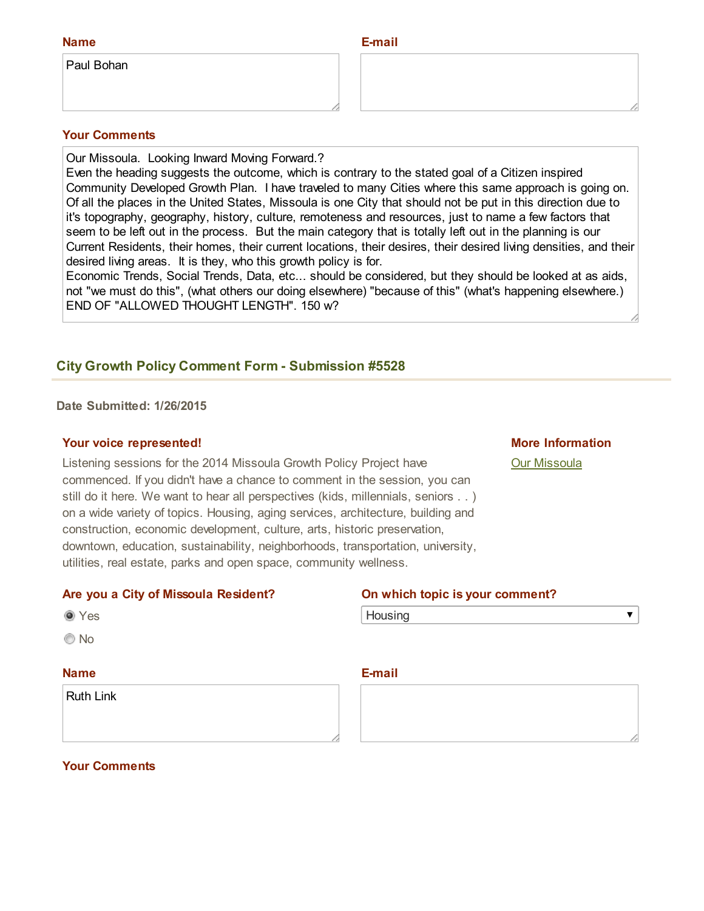| <b>Name</b> | E-mail |
|-------------|--------|
| Paul Bohan  |        |

#### Your Comments

Our Missoula. Looking Inward Moving Forward.?

Even the heading suggests the outcome, which is contrary to the stated goal of a Citizen inspired Community Developed Growth Plan. I have traveled to many Cities where this same approach is going on. Of all the places in the United States, Missoula is one City that should not be put in this direction due to it's topography, geography, history, culture, remoteness and resources, just to name a few factors that seem to be left out in the process. But the main category that is totally left out in the planning is our Current Residents, their homes, their current locations, their desires, their desired living densities, and their desired living areas. It is they, who this growth policy is for.

Economic Trends, Social Trends, Data, etc... should be considered, but they should be looked at as aids, not "we must do this", (what others our doing elsewhere) "because of this" (what's happening elsewhere.) END OF "ALLOWED THOUGHT LENGTH". 150 w?

### **City Growth Policy Comment Form - Submission #5528**

Date Submitted: 1/26/2015

#### Your voice represented!

Listening sessions for the 2014 Missoula Growth Policy Project have commenced. If you didn't have a chance to comment in the session, you can still do it here. We want to hear all perspectives (kids, millennials, seniors . . ) on a wide variety of topics. Housing, aging services, architecture, building and construction, economic development, culture, arts, historic preservation, downtown, education, sustainability, neighborhoods, transportation, university, utilities, real estate, parks and open space, community wellness.

#### More Information

 $\blacktriangledown$ 

[Our Missoula](http://www.ci.missoula.mt.us/1748/Our-Missoula)

#### Are you a City of Missoula Resident? On which topic is your comment?

| . .<br>۰.<br>w<br>M. |
|----------------------|
|                      |

© No

#### Name

Ruth Link

| Housing |
|---------|
|---------|

#### Email

#### Your Comments